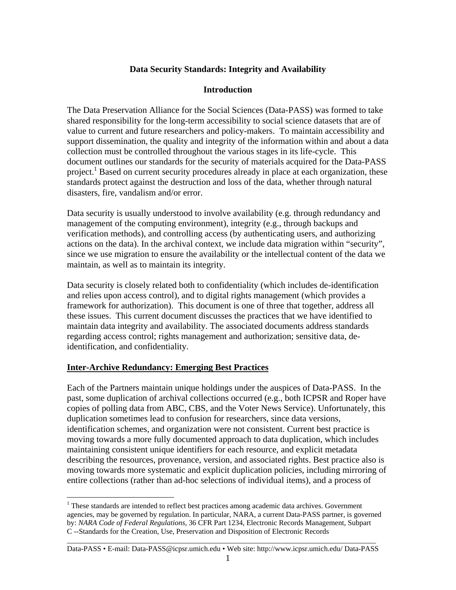### **Data Security Standards: Integrity and Availability**

### **Introduction**

The Data Preservation Alliance for the Social Sciences (Data-PASS) was formed to take shared responsibility for the long-term accessibility to social science datasets that are of value to current and future researchers and policy-makers. To maintain accessibility and support dissemination, the quality and integrity of the information within and about a data collection must be controlled throughout the various stages in its life-cycle. This document outlines our standards for the security of materials acquired for the Data-PASS project.<sup>1</sup> Based on current security procedures already in place at each organization, these standards protect against the destruction and loss of the data, whether through natural disasters, fire, vandalism and/or error.

Data security is usually understood to involve availability (e.g. through redundancy and management of the computing environment), integrity (e.g., through backups and verification methods), and controlling access (by authenticating users, and authorizing actions on the data). In the archival context, we include data migration within "security", since we use migration to ensure the availability or the intellectual content of the data we maintain, as well as to maintain its integrity.

Data security is closely related both to confidentiality (which includes de-identification and relies upon access control), and to digital rights management (which provides a framework for authorization). This document is one of three that together, address all these issues. This current document discusses the practices that we have identified to maintain data integrity and availability. The associated documents address standards regarding access control; rights management and authorization; sensitive data, deidentification, and confidentiality.

### **Inter-Archive Redundancy: Emerging Best Practices**

 $\overline{a}$ 

Each of the Partners maintain unique holdings under the auspices of Data-PASS. In the past, some duplication of archival collections occurred (e.g., both ICPSR and Roper have copies of polling data from ABC, CBS, and the Voter News Service). Unfortunately, this duplication sometimes lead to confusion for researchers, since data versions, identification schemes, and organization were not consistent. Current best practice is moving towards a more fully documented approach to data duplication, which includes maintaining consistent unique identifiers for each resource, and explicit metadata describing the resources, provenance, version, and associated rights. Best practice also is moving towards more systematic and explicit duplication policies, including mirroring of entire collections (rather than ad-hoc selections of individual items), and a process of

\_\_\_\_\_\_\_\_\_\_\_\_\_\_\_\_\_\_\_\_\_\_\_\_\_\_\_\_\_\_\_\_\_\_\_\_\_\_\_\_\_\_\_\_\_\_\_\_\_\_\_\_\_\_\_\_\_\_\_\_\_\_\_\_\_\_\_\_\_\_\_\_\_\_\_\_\_\_\_\_\_\_\_ Data-PASS • E-mail: Data-PASS@icpsr.umich.edu • Web site: http://www.icpsr.umich.edu/ Data-PASS

 $1$  These standards are intended to reflect best practices among academic data archives. Government agencies, may be governed by regulation. In particular, NARA, a current Data-PASS partner, is governed by: *NARA Code of Federal Regulations*, 36 CFR Part 1234, Electronic Records Management, Subpart C --Standards for the Creation, Use, Preservation and Disposition of Electronic Records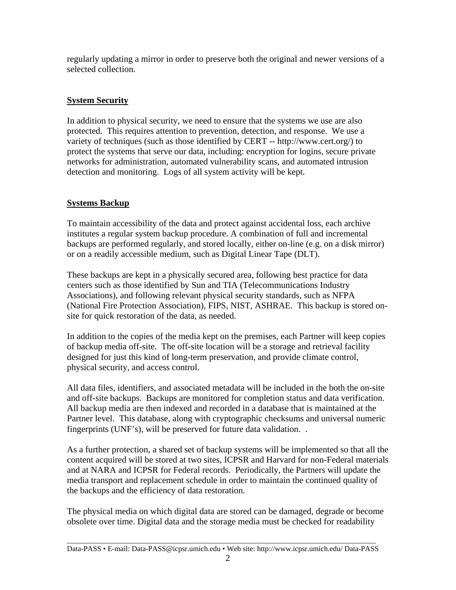regularly updating a mirror in order to preserve both the original and newer versions of a selected collection.

## **System Security**

In addition to physical security, we need to ensure that the systems we use are also protected. This requires attention to prevention, detection, and response. We use a variety of techniques (such as those identified by CERT -- http://www.cert.org/) to protect the systems that serve our data, including: encryption for logins, secure private networks for administration, automated vulnerability scans, and automated intrusion detection and monitoring. Logs of all system activity will be kept.

# **Systems Backup**

To maintain accessibility of the data and protect against accidental loss, each archive institutes a regular system backup procedure. A combination of full and incremental backups are performed regularly, and stored locally, either on-line (e.g. on a disk mirror) or on a readily accessible medium, such as Digital Linear Tape (DLT).

These backups are kept in a physically secured area, following best practice for data centers such as those identified by Sun and TIA (Telecommunications Industry Associations), and following relevant physical security standards, such as NFPA (National Fire Protection Association), FIPS, NIST, ASHRAE. This backup is stored onsite for quick restoration of the data, as needed.

In addition to the copies of the media kept on the premises, each Partner will keep copies of backup media off-site. The off-site location will be a storage and retrieval facility designed for just this kind of long-term preservation, and provide climate control, physical security, and access control.

All data files, identifiers, and associated metadata will be included in the both the on-site and off-site backups. Backups are monitored for completion status and data verification. All backup media are then indexed and recorded in a database that is maintained at the Partner level. This database, along with cryptographic checksums and universal numeric fingerprints (UNF's), will be preserved for future data validation. .

As a further protection, a shared set of backup systems will be implemented so that all the content acquired will be stored at two sites, ICPSR and Harvard for non-Federal materials and at NARA and ICPSR for Federal records. Periodically, the Partners will update the media transport and replacement schedule in order to maintain the continued quality of the backups and the efficiency of data restoration.

The physical media on which digital data are stored can be damaged, degrade or become obsolete over time. Digital data and the storage media must be checked for readability